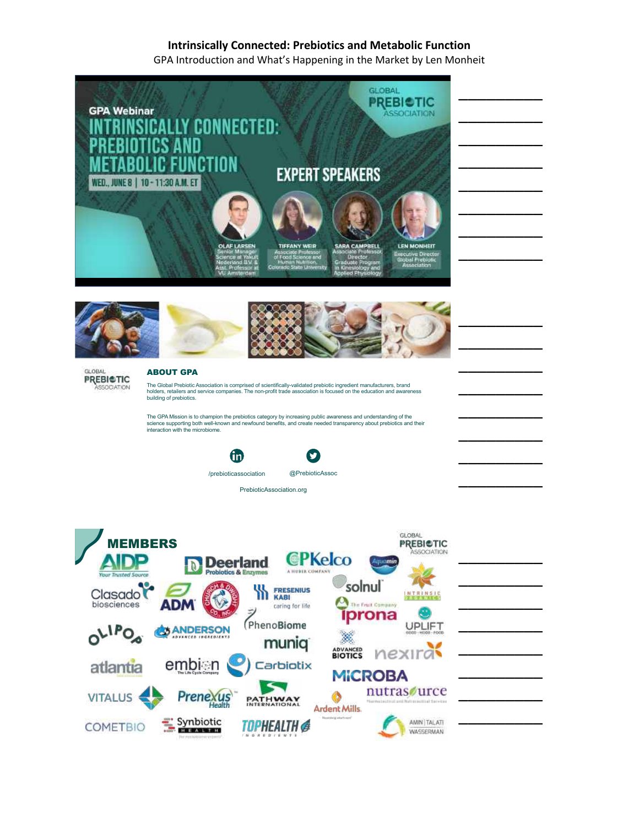GPA Introduction and What's Happening in the Market by Len Monheit

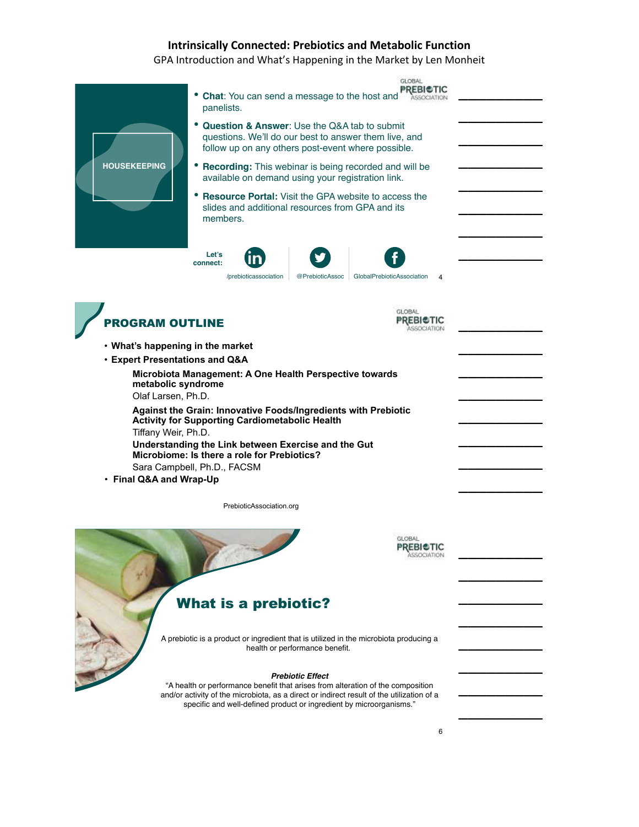GPA Introduction and What's Happening in the Market by Len Monheit



"A health or performance benefit that arises from alteration of the composition and/or activity of the microbiota, as a direct or indirect result of the utilization of a specific and well-defined product or ingredient by microorganisms."

 $\overline{\phantom{a}}$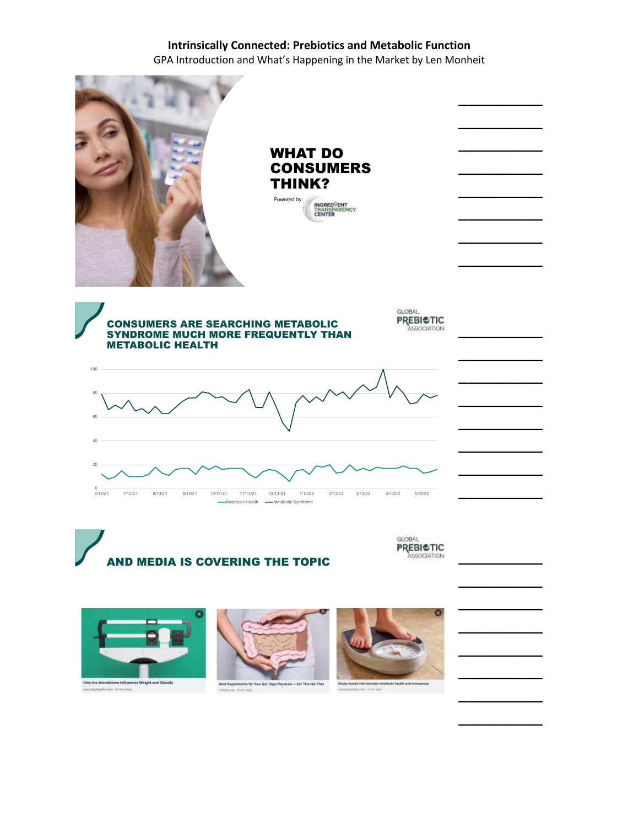GPA Introduction and What's Happening in the Market by Len Monheit



AND MEDIA IS COVERING THE TOPIC

GLOBAL **PREBICTIC** ASSOCIATION

 $\overline{\phantom{a}}$ 

 $\overline{\phantom{a}}$ 

 $\overline{\phantom{a}}$ 

 $\overline{\phantom{a}}$ 

 $\overline{\phantom{a}}$ 

 $\overline{\phantom{a}}$ 

 $\overline{\phantom{a}}$ 

 $\overline{\phantom{a}}$ 







Best Supplements for Your Gut, Says Phys

- Eat This Not That